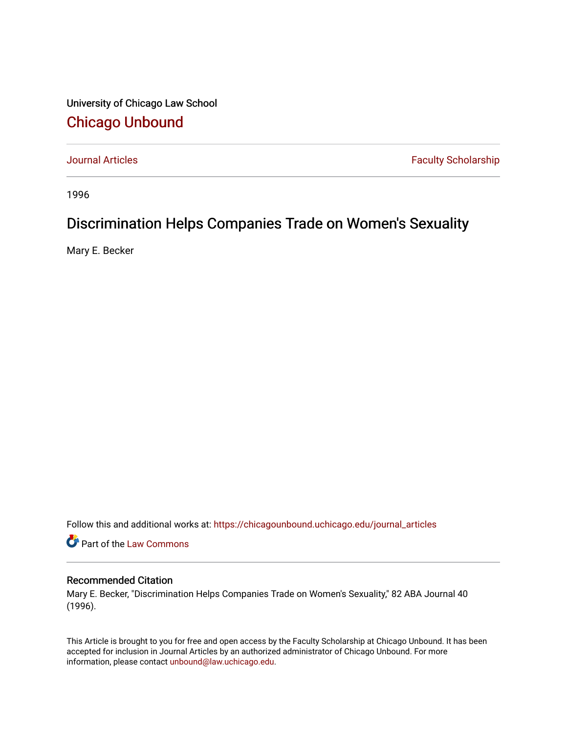University of Chicago Law School [Chicago Unbound](https://chicagounbound.uchicago.edu/)

[Journal Articles](https://chicagounbound.uchicago.edu/journal_articles) **Faculty Scholarship Faculty Scholarship** 

1996

#### Discrimination Helps Companies Trade on Women's Sexuality

Mary E. Becker

Follow this and additional works at: [https://chicagounbound.uchicago.edu/journal\\_articles](https://chicagounbound.uchicago.edu/journal_articles?utm_source=chicagounbound.uchicago.edu%2Fjournal_articles%2F7548&utm_medium=PDF&utm_campaign=PDFCoverPages) 

Part of the [Law Commons](http://network.bepress.com/hgg/discipline/578?utm_source=chicagounbound.uchicago.edu%2Fjournal_articles%2F7548&utm_medium=PDF&utm_campaign=PDFCoverPages)

#### Recommended Citation

Mary E. Becker, "Discrimination Helps Companies Trade on Women's Sexuality," 82 ABA Journal 40 (1996).

This Article is brought to you for free and open access by the Faculty Scholarship at Chicago Unbound. It has been accepted for inclusion in Journal Articles by an authorized administrator of Chicago Unbound. For more information, please contact [unbound@law.uchicago.edu](mailto:unbound@law.uchicago.edu).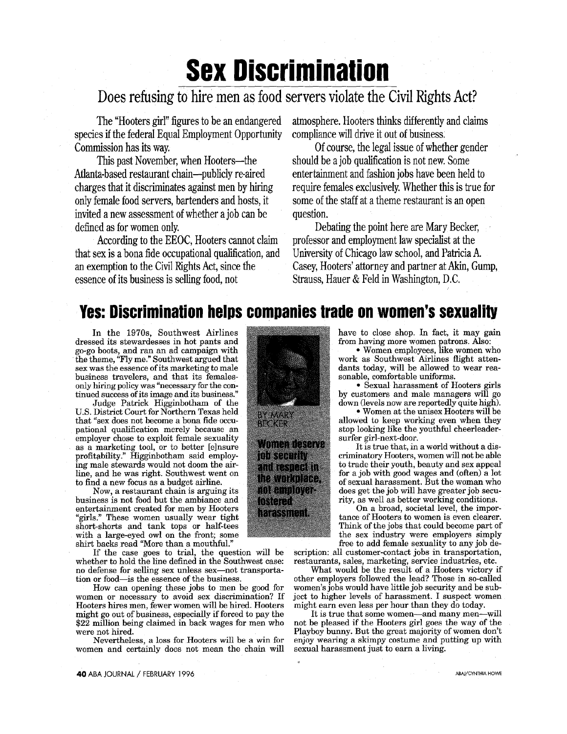# **Sex Discrimination**

## Does refusing to hire men as food servers violate the Civil Rights Act?

The "Hooters girl" figures to be an endangered species if the federal Equal Employment Opportunity Commission has its way.

This past November, when Hooters-the Atlanta-based restaurant chain-publicly re-aired charges that it discriminates against men **by** hiring only female food servers, bartenders and hosts, it invited a new assessment of whether a **job** can be defined as for women only.

According to the **EEOC,** Hooters cannot claim that sex is a bona fide occupational qualification, and an exemption to the Civil Rights Act, since the essence of its business is selling food, not

atmosphere. Hooters thinks differently and claims compliance will drive it out of business,

**Of** course, the legal issue of whether gender should be a **job** qualification is not new. Some entertainment and fashion jobs have been held to require females exclusively. Whether this is true for some of the staff at a theme restaurant is an open question.

Debating the point here are Mary Becker, professor and employment law specialist at the University of Chicago law school, and Patricia **A.** Casey, Hooters' attorney and partner at Akin, Gump, Strauss, Hauer **&** Feld in Washington, **D.C.**

# **Yes: Discrimination helps companies trade on women's sexuality**

In the 1970s, Southwest Airlines dressed its stewardesses in hot pants and go-go boots, and ran an ad campaign with the theme, "Fly me." Southwest argued that sex was the essence of its marketing to male business travelers, and that its femalesonly hiring policy was "necessary for the continued success of its image and its business."

Judge Patrick Higginbotham of the U.S. District Court for Northern Texas held that "sex does not become a bona fide occupational qualification merely because an employer chose to exploit female sexuality as a marketing tool, or to better [e]nsure profitability." Higginbotham said employing male stewards would not doom the airline, and he was right. Southwest went on to find a new focus as a budget airline.

Now, a restaurant chain is arguing its business is not food but the ambiance and entertainment created for men by Hooters "girls." These women usually wear tight short-shorts and tank tops or half-tees with a large-eyed owl on the front; some shirt backs read "More than a mouthful."

If the case goes to trial, the question will be whether to hold the line defined in the Southwest case: no defense for selling sex unless sex-not transportation or food-is the essence of the business.

How can opening these jobs to men be good for women or necessary to avoid sex discrimination? If Hooters hires men, fewer women will be hired. Hooters might go out of business, especially if forced to pay the \$22 million being claimed in back wages for men who were not hired.

Nevertheless, a loss for Hooters will be a win for women and certainly does not mean the chain will



have to close shop. In fact, it may gain from having more women patrons. Also:

\* Women employees, like women who work as Southwest Airlines flight attendants today, will be allowed to wear reasonable, comfortable uniforms.

**-** Sexual harassment of Hooters girls by customers and male managers will go down (levels now are reportedly quite high).

**\*** Women at the unisex Hooters will be allowed to keep working even when they stop looking like the youthful cheerleadersurfer girl-next-door.

It is true that, in a world without a discriminatory Hooters, women will not be able to trade their youth, beauty and sex appeal for a job with good wages and (often) a lot of sexual harassment. But the woman who does get the job will have greater job security, as well as better working conditions.

On a broad, societal level, the impor-<br>tance of Hooters to women is even clearer. Think of the jobs that could become part of the sex industry were employers simply free to add female sexuality to any job de-

scription: all customer-contact jobs in transportation, restaurants, sales, marketing, service industries, etc.

What would be the result of a Hooters victory if other employers followed the lead? Those in so-called women's jobs would have little job security and be subject to higher levels of harassment. I suspect women might earn even less per hour than they do today.

It is true that some women-and many men-will not be pleased if the Hooters girl goes the way of the Playboy bunny. But the great majority of women don't enjoy wearing a skimpy costume and putting up with sexual harassment just to earn a living.